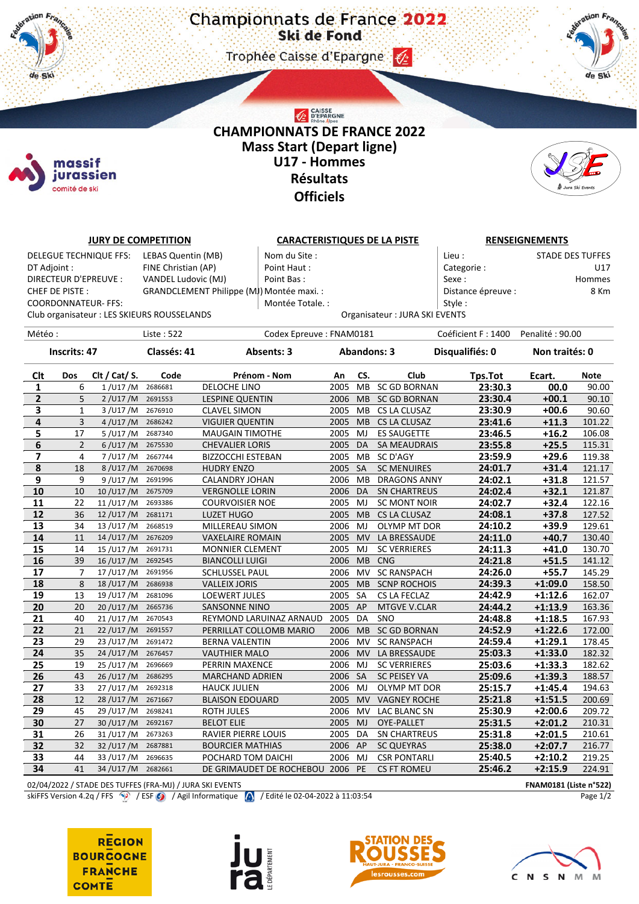Trophee Caisse d'Epargne (2)



## CAISSE<br>D'EPARGNE **CHAMPIONNATS DE FRANCE 2022 Mass Start (Depart ligne) U17 - Hommes Résultats Officiels**



| <b>JURY DE COMPETITION</b>    |                |                            |                                                          |                                           | <b>CARACTERISTIQUES DE LA PISTE</b> |           |                               |                            | <b>RENSEIGNEMENTS</b>   |             |  |  |
|-------------------------------|----------------|----------------------------|----------------------------------------------------------|-------------------------------------------|-------------------------------------|-----------|-------------------------------|----------------------------|-------------------------|-------------|--|--|
| <b>DELEGUE TECHNIQUE FFS:</b> |                |                            | LEBAS Quentin (MB)                                       | Nom du Site :                             |                                     |           |                               | Lieu :                     | <b>STADE DES TUFFES</b> |             |  |  |
| DT Adjoint :                  |                |                            | FINE Christian (AP)                                      | Point Haut:                               |                                     |           |                               | Categorie:                 |                         | U17         |  |  |
| DIRECTEUR D'EPREUVE :         |                |                            | VANDEL Ludovic (MJ)                                      | Point Bas:                                |                                     |           |                               |                            | Sexe:<br>Hommes         |             |  |  |
| CHEF DE PISTE:                |                |                            |                                                          | GRANDCLEMENT Philippe (MJ) Montée maxi. : |                                     |           |                               | Distance épreuve :<br>8 Km |                         |             |  |  |
|                               |                | <b>COORDONNATEUR- FFS:</b> |                                                          | Montée Totale. :                          |                                     |           |                               | Style:                     |                         |             |  |  |
|                               |                |                            | Club organisateur : LES SKIEURS ROUSSELANDS              |                                           |                                     |           | Organisateur: JURA SKI EVENTS |                            |                         |             |  |  |
|                               |                |                            |                                                          |                                           |                                     |           |                               |                            |                         |             |  |  |
| Météo :                       |                |                            | Liste: 522                                               |                                           | Codex Epreuve: FNAM0181             |           | Coéficient F: 1400            | Penalité: 90.00            |                         |             |  |  |
| <b>Inscrits: 47</b>           |                |                            | Classés: 41                                              | Absents: 3                                | <b>Abandons: 3</b>                  |           |                               | Disqualifiés: 0            | Non traités: 0          |             |  |  |
| Clt                           | Dos            | Clt / Cat/ S.              | Code                                                     | Prénom - Nom                              | An                                  | CS.       | Club                          | Tps.Tot                    | Ecart.                  | <b>Note</b> |  |  |
| 1                             | 6              | $1/$ U17 /M                | 2686681                                                  | DELOCHE LINO                              | 2005                                | <b>MB</b> | <b>SC GD BORNAN</b>           | 23:30.3                    | 00.0                    | 90.00       |  |  |
| $\overline{2}$                | 5              | $2$ /U17/M                 | 2691553                                                  | <b>LESPINE QUENTIN</b>                    | 2006 MB                             |           | <b>SC GD BORNAN</b>           | 23:30.4                    | $+00.1$                 | 90.10       |  |  |
| 3                             | $\mathbf{1}$   | 3 / U17 / M                | 2676910                                                  | <b>CLAVEL SIMON</b>                       | 2005                                | МB        | CS LA CLUSAZ                  | 23:30.9                    | $+00.6$                 | 90.60       |  |  |
| 4                             | 3              | 4 / U17 / M                | 2686242                                                  | <b>VIGUIER QUENTIN</b>                    | 2005                                | <b>MB</b> | CS LA CLUSAZ                  | 23:41.6                    | $+11.3$                 | 101.22      |  |  |
| 5                             | 17             | 5/U17/M                    | 2687340                                                  | <b>MAUGAIN TIMOTHE</b>                    | 2005                                | MJ        | <b>ES SAUGETTE</b>            | 23:46.5                    | $+16.2$                 | 106.08      |  |  |
| 6                             | $\mathbf 2$    | 6/U17/M 2675530            |                                                          | <b>CHEVALIER LORIS</b>                    | 2005                                | DA        | <b>SA MEAUDRAIS</b>           | 23:55.8                    | $+25.5$                 | 115.31      |  |  |
| 7                             | 4              | 7/U17/M                    | 2667744                                                  | <b>BIZZOCCHI ESTEBAN</b>                  | 2005 MB                             |           | SC D'AGY                      | 23:59.9                    | $+29.6$                 | 119.38      |  |  |
| 8                             | 18             | 8/U17/M                    | 2670698                                                  | <b>HUDRY ENZO</b>                         | 2005                                | <b>SA</b> | <b>SC MENUIRES</b>            | 24:01.7                    | $+31.4$                 | 121.17      |  |  |
| 9                             | 9              | 9/U17/M                    | 2691996                                                  | CALANDRY JOHAN                            | 2006 MB                             |           | <b>DRAGONS ANNY</b>           | 24:02.1                    | $+31.8$                 | 121.57      |  |  |
| 10                            | 10             | 10/U17/M                   | 2675709                                                  | <b>VERGNOLLE LORIN</b>                    | 2006                                | DA        | <b>SN CHARTREUS</b>           | 24:02.4                    | $+32.1$                 | 121.87      |  |  |
| 11                            | 22             | 11/U17/M                   | 2693386                                                  | <b>COURVOISIER NOE</b>                    | 2005 MJ                             |           | <b>SC MONT NOIR</b>           | 24:02.7                    | $+32.4$                 | 122.16      |  |  |
| 12                            | 36             | 12/U17/M                   | 2681171                                                  | LUZET HUGO                                | 2005                                | <b>MB</b> | CS LA CLUSAZ                  | 24:08.1                    | $+37.8$                 | 127.52      |  |  |
| 13                            | 34             | 13/U17/M                   | 2668519                                                  | MILLEREAU SIMON                           | 2006                                | MJ        | OLYMP MT DOR                  | 24:10.2                    | $+39.9$                 | 129.61      |  |  |
| 14                            | 11             | 14/U17/M                   | 2676209                                                  | <b>VAXELAIRE ROMAIN</b>                   | 2005                                | <b>MV</b> | LA BRESSAUDE                  | 24:11.0                    | $+40.7$                 | 130.40      |  |  |
| 15                            | 14             | 15/U17/M                   | 2691731                                                  | <b>MONNIER CLEMENT</b>                    | 2005                                | MJ        | <b>SC VERRIERES</b>           | 24:11.3                    | $+41.0$                 | 130.70      |  |  |
| 16                            | 39             | 16/U17/M 2692545           |                                                          | <b>BIANCOLLI LUIGI</b>                    | 2006 MB                             |           | <b>CNG</b>                    | 24:21.8                    | $+51.5$                 | 141.12      |  |  |
| 17                            | $\overline{7}$ | 17/U17/M                   | 2691956                                                  | SCHLUSSEL PAUL                            | 2006 MV                             |           | <b>SC RANSPACH</b>            | 24:26.0                    | +55.7                   | 145.29      |  |  |
| 18                            | 8              | 18/U17/M                   | 2686938                                                  | <b>VALLEIX JORIS</b>                      | 2005 MB                             |           | <b>SCNP ROCHOIS</b>           | 24:39.3                    | $+1:09.0$               | 158.50      |  |  |
| 19                            | 13             | 19/U17/M                   | 2681096                                                  | <b>LOEWERT JULES</b>                      | 2005                                | SA        | CS LA FECLAZ                  | 24:42.9                    | $+1:12.6$               | 162.07      |  |  |
| 20                            | 20             | 20/U17/M 2665736           |                                                          | <b>SANSONNE NINO</b>                      | 2005 AP                             |           | <b>MTGVE V.CLAR</b>           | 24:44.2                    | $+1:13.9$               | 163.36      |  |  |
| 21                            | 40             | 21/U17/M                   | 2670543                                                  | REYMOND LARUINAZ ARNAUD                   | 2005                                | DA        | SNO                           | 24:48.8                    | $+1:18.5$               | 167.93      |  |  |
| 22                            | 21             | 22/U17/M                   | 2691557                                                  | PERRILLAT COLLOMB MARIO                   | 2006 MB                             |           | <b>SC GD BORNAN</b>           | 24:52.9                    | $+1:22.6$               | 172.00      |  |  |
| 23                            | 29             | 23/U17/M                   | 2691472                                                  | <b>BERNA VALENTIN</b>                     | 2006                                | MV        | <b>SC RANSPACH</b>            | 24:59.4                    | $+1:29.1$               | 178.45      |  |  |
| 24                            | 35             | 24/U17/M 2676457           |                                                          | <b>VAUTHIER MALO</b>                      | 2006 MV                             |           | LA BRESSAUDE                  | 25:03.3                    | $+1:33.0$               | 182.32      |  |  |
| 25                            | 19             | 25/U17/M                   | 2696669                                                  | PERRIN MAXENCE                            | 2006 MJ                             |           | <b>SC VERRIERES</b>           | 25:03.6                    | $+1:33.3$               | 182.62      |  |  |
| 26                            | 43             | $\frac{1}{26}$ /U17/M      | 2686295                                                  | <b>MARCHAND ADRIEN</b>                    | 2006 SA                             |           | <b>SC PEISEY VA</b>           | 25:09.6                    | $+1:39.3$               | 188.57      |  |  |
| 27                            | 33             | 27/U17/M                   | 2692318                                                  | <b>HAUCK JULIEN</b>                       | 2006 MJ                             |           | OLYMP MT DOR                  | 25:15.7                    | $+1:45.4$               | 194.63      |  |  |
| 28                            | 12             | 28/U17/M                   | 2671667                                                  | <b>BLAISON EDOUARD</b>                    | 2005                                | <b>MV</b> | <b>VAGNEY ROCHE</b>           | 25:21.8                    | $+1:51.5$               | 200.69      |  |  |
| 29                            | 45             | 29/U17/M                   | 2698241                                                  | <b>ROTH JULES</b>                         | 2006 MV                             |           | LAC BLANC SN                  | 25:30.9                    | $+2:00.6$               | 209.72      |  |  |
| 30                            | 27             | 30/U17/M                   | 2692167                                                  | <b>BELOT ELIE</b>                         | 2005                                | MJ        | <b>OYE-PALLET</b>             | 25:31.5                    | $+2:01.2$               | 210.31      |  |  |
| 31                            | 26             | 31/U17/M                   | 2673263                                                  | <b>RAVIER PIERRE LOUIS</b>                | 2005                                | DA        | <b>SN CHARTREUS</b>           | 25:31.8                    | $+2:01.5$               | 210.61      |  |  |
| 32                            | 32             | 32/U17/M                   | 2687881                                                  | <b>BOURCIER MATHIAS</b>                   | 2006 AP                             |           | <b>SC QUEYRAS</b>             | 25:38.0                    | $+2:07.7$               | 216.77      |  |  |
| 33                            | 44             | 33/U17/M                   | 2696635                                                  | POCHARD TOM DAICHI                        | 2006                                | MJ        | <b>CSR PONTARLI</b>           | 25:40.5                    | $+2:10.2$               | 219.25      |  |  |
| 34                            | 41             | 34/U17/M                   | 2682661                                                  | DE GRIMAUDET DE ROCHEBOUI 2006            |                                     | PE        | <b>CS FT ROMEU</b>            | 25:46.2                    | $+2:15.9$               | 224.91      |  |  |
|                               |                |                            | 02/04/2022 / STADE DES TUFFES (FRA-MJ) / JURA SKI EVENTS |                                           |                                     |           |                               |                            | FNAM0181 (Liste n°522)  |             |  |  |

skiFFS Version 4.2q / FFS  $\circled{P}$  / ESF  $\circled{P}$  / Agil Informatique  $\circled{P}$  / Edité le 02-04-2022 à 11:03:54

**REGION BOURGOGNE FRANCHE COMTE** 

 $\#$ 

de Ski

massif jurassien comité de ski